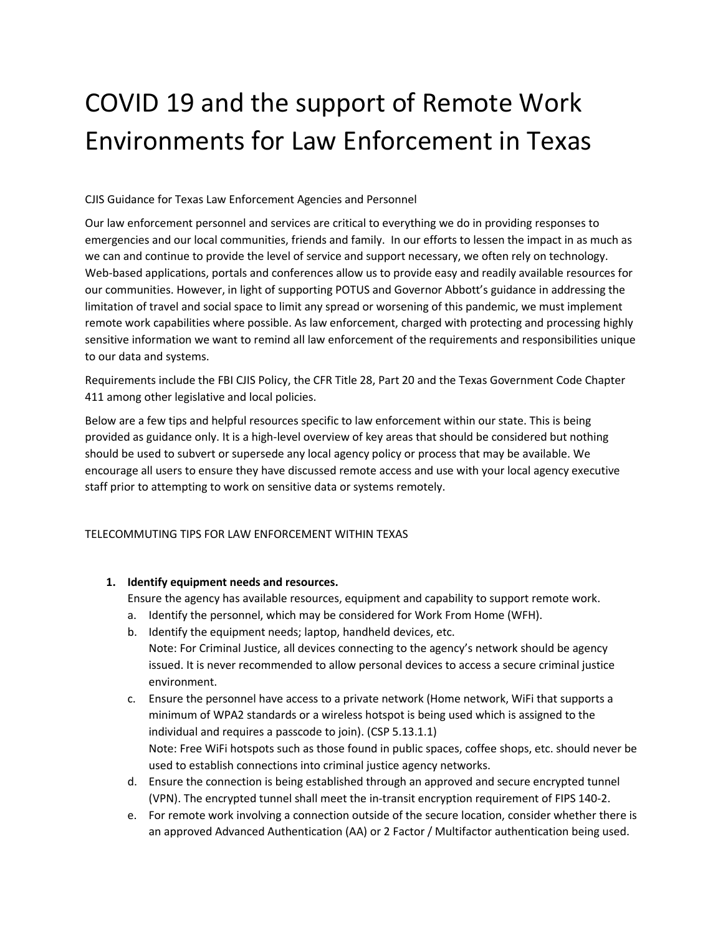# COVID 19 and the support of Remote Work Environments for Law Enforcement in Texas

CJIS Guidance for Texas Law Enforcement Agencies and Personnel

Our law enforcement personnel and services are critical to everything we do in providing responses to emergencies and our local communities, friends and family. In our efforts to lessen the impact in as much as we can and continue to provide the level of service and support necessary, we often rely on technology. Web-based applications, portals and conferences allow us to provide easy and readily available resources for our communities. However, in light of supporting POTUS and Governor Abbott's guidance in addressing the limitation of travel and social space to limit any spread or worsening of this pandemic, we must implement remote work capabilities where possible. As law enforcement, charged with protecting and processing highly sensitive information we want to remind all law enforcement of the requirements and responsibilities unique to our data and systems.

Requirements include the FBI CJIS Policy, the CFR Title 28, Part 20 and the Texas Government Code Chapter 411 among other legislative and local policies.

Below are a few tips and helpful resources specific to law enforcement within our state. This is being provided as guidance only. It is a high-level overview of key areas that should be considered but nothing should be used to subvert or supersede any local agency policy or process that may be available. We encourage all users to ensure they have discussed remote access and use with your local agency executive staff prior to attempting to work on sensitive data or systems remotely.

#### TELECOMMUTING TIPS FOR LAW ENFORCEMENT WITHIN TEXAS

**1. Identify equipment needs and resources.** 

Ensure the agency has available resources, equipment and capability to support remote work.

- a. Identify the personnel, which may be considered for Work From Home (WFH).
- b. Identify the equipment needs; laptop, handheld devices, etc. Note: For Criminal Justice, all devices connecting to the agency's network should be agency issued. It is never recommended to allow personal devices to access a secure criminal justice environment.
- c. Ensure the personnel have access to a private network (Home network, WiFi that supports a minimum of WPA2 standards or a wireless hotspot is being used which is assigned to the individual and requires a passcode to join). (CSP 5.13.1.1) Note: Free WiFi hotspots such as those found in public spaces, coffee shops, etc. should never be used to establish connections into criminal justice agency networks.
- d. Ensure the connection is being established through an approved and secure encrypted tunnel (VPN). The encrypted tunnel shall meet the in-transit encryption requirement of FIPS 140-2.
- e. For remote work involving a connection outside of the secure location, consider whether there is an approved Advanced Authentication (AA) or 2 Factor / Multifactor authentication being used.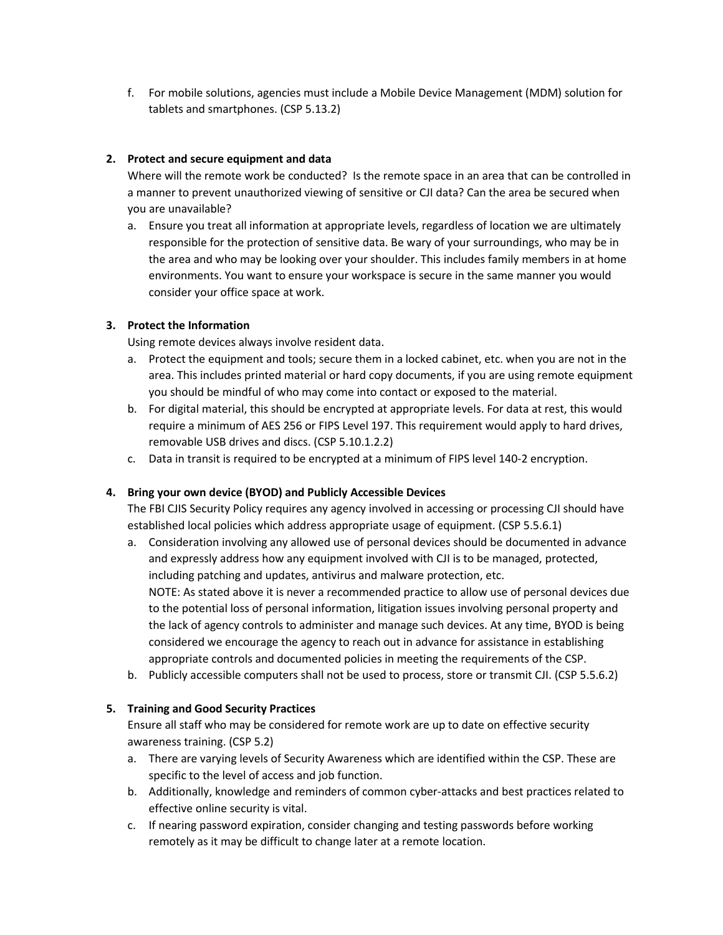f. For mobile solutions, agencies must include a Mobile Device Management (MDM) solution for tablets and smartphones. (CSP 5.13.2)

## **2. Protect and secure equipment and data**

Where will the remote work be conducted? Is the remote space in an area that can be controlled in a manner to prevent unauthorized viewing of sensitive or CJI data? Can the area be secured when you are unavailable?

a. Ensure you treat all information at appropriate levels, regardless of location we are ultimately responsible for the protection of sensitive data. Be wary of your surroundings, who may be in the area and who may be looking over your shoulder. This includes family members in at home environments. You want to ensure your workspace is secure in the same manner you would consider your office space at work.

### **3. Protect the Information**

Using remote devices always involve resident data.

- a. Protect the equipment and tools; secure them in a locked cabinet, etc. when you are not in the area. This includes printed material or hard copy documents, if you are using remote equipment you should be mindful of who may come into contact or exposed to the material.
- b. For digital material, this should be encrypted at appropriate levels. For data at rest, this would require a minimum of AES 256 or FIPS Level 197. This requirement would apply to hard drives, removable USB drives and discs. (CSP 5.10.1.2.2)
- c. Data in transit is required to be encrypted at a minimum of FIPS level 140-2 encryption.

#### **4. Bring your own device (BYOD) and Publicly Accessible Devices**

The FBI CJIS Security Policy requires any agency involved in accessing or processing CJI should have established local policies which address appropriate usage of equipment. (CSP 5.5.6.1)

- a. Consideration involving any allowed use of personal devices should be documented in advance and expressly address how any equipment involved with CJI is to be managed, protected, including patching and updates, antivirus and malware protection, etc. NOTE: As stated above it is never a recommended practice to allow use of personal devices due to the potential loss of personal information, litigation issues involving personal property and the lack of agency controls to administer and manage such devices. At any time, BYOD is being considered we encourage the agency to reach out in advance for assistance in establishing appropriate controls and documented policies in meeting the requirements of the CSP.
- b. Publicly accessible computers shall not be used to process, store or transmit CJI. (CSP 5.5.6.2)

## **5. Training and Good Security Practices**

Ensure all staff who may be considered for remote work are up to date on effective security awareness training. (CSP 5.2)

- a. There are varying levels of Security Awareness which are identified within the CSP. These are specific to the level of access and job function.
- b. Additionally, knowledge and reminders of common cyber-attacks and best practices related to effective online security is vital.
- c. If nearing password expiration, consider changing and testing passwords before working remotely as it may be difficult to change later at a remote location.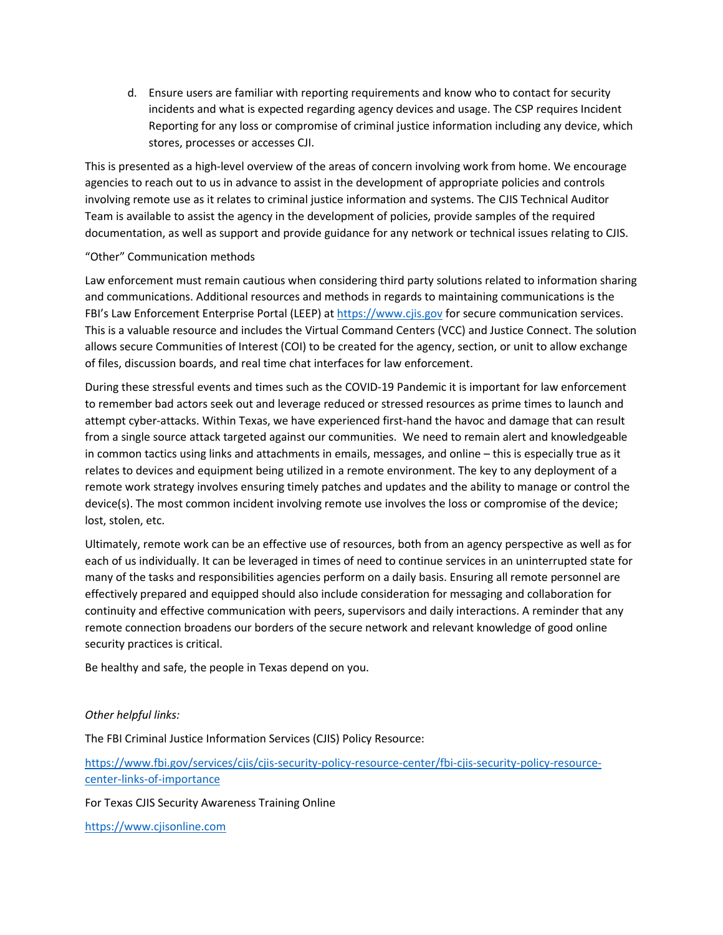d. Ensure users are familiar with reporting requirements and know who to contact for security incidents and what is expected regarding agency devices and usage. The CSP requires Incident Reporting for any loss or compromise of criminal justice information including any device, which stores, processes or accesses CJI.

This is presented as a high-level overview of the areas of concern involving work from home. We encourage agencies to reach out to us in advance to assist in the development of appropriate policies and controls involving remote use as it relates to criminal justice information and systems. The CJIS Technical Auditor Team is available to assist the agency in the development of policies, provide samples of the required documentation, as well as support and provide guidance for any network or technical issues relating to CJIS.

#### "Other" Communication methods

Law enforcement must remain cautious when considering third party solutions related to information sharing and communications. Additional resources and methods in regards to maintaining communications is the FBI's Law Enforcement Enterprise Portal (LEEP) a[t https://www.cjis.gov](https://www.cjis.gov/) for secure communication services. This is a valuable resource and includes the Virtual Command Centers (VCC) and Justice Connect. The solution allows secure Communities of Interest (COI) to be created for the agency, section, or unit to allow exchange of files, discussion boards, and real time chat interfaces for law enforcement.

During these stressful events and times such as the COVID-19 Pandemic it is important for law enforcement to remember bad actors seek out and leverage reduced or stressed resources as prime times to launch and attempt cyber-attacks. Within Texas, we have experienced first-hand the havoc and damage that can result from a single source attack targeted against our communities. We need to remain alert and knowledgeable in common tactics using links and attachments in emails, messages, and online – this is especially true as it relates to devices and equipment being utilized in a remote environment. The key to any deployment of a remote work strategy involves ensuring timely patches and updates and the ability to manage or control the device(s). The most common incident involving remote use involves the loss or compromise of the device; lost, stolen, etc.

Ultimately, remote work can be an effective use of resources, both from an agency perspective as well as for each of us individually. It can be leveraged in times of need to continue services in an uninterrupted state for many of the tasks and responsibilities agencies perform on a daily basis. Ensuring all remote personnel are effectively prepared and equipped should also include consideration for messaging and collaboration for continuity and effective communication with peers, supervisors and daily interactions. A reminder that any remote connection broadens our borders of the secure network and relevant knowledge of good online security practices is critical.

Be healthy and safe, the people in Texas depend on you.

#### *Other helpful links:*

The FBI Criminal Justice Information Services (CJIS) Policy Resource:

[https://www.fbi.gov/services/cjis/cjis-security-policy-resource-center/fbi-cjis-security-policy-resource](https://www.fbi.gov/services/cjis/cjis-security-policy-resource-center/fbi-cjis-security-policy-resource-center-links-of-importance)[center-links-of-importance](https://www.fbi.gov/services/cjis/cjis-security-policy-resource-center/fbi-cjis-security-policy-resource-center-links-of-importance)

For Texas CJIS Security Awareness Training Online

[https://www.cjisonline.com](https://www.cjisonline.com/)